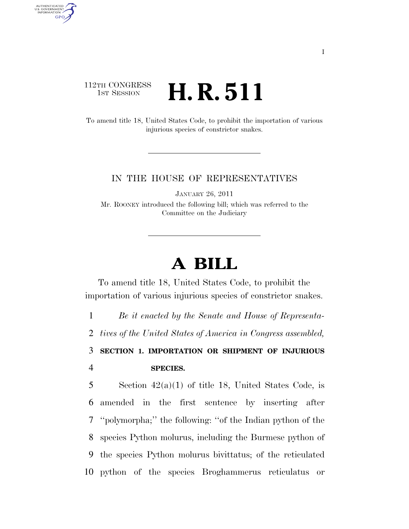## 112TH CONGRESS **1st Session H. R. 511**

AUTHENTICATED<br>U.S. GOVERNMENT<br>INFORMATION

**GPO** 

To amend title 18, United States Code, to prohibit the importation of various injurious species of constrictor snakes.

## IN THE HOUSE OF REPRESENTATIVES

JANUARY 26, 2011

Mr. ROONEY introduced the following bill; which was referred to the Committee on the Judiciary

## **A BILL**

To amend title 18, United States Code, to prohibit the importation of various injurious species of constrictor snakes.

1 *Be it enacted by the Senate and House of Representa-*

2 *tives of the United States of America in Congress assembled,* 

3 **SECTION 1. IMPORTATION OR SHIPMENT OF INJURIOUS**  4 **SPECIES.** 

5 Section  $42(a)(1)$  of title 18, United States Code, is amended in the first sentence by inserting after ''polymorpha;'' the following: ''of the Indian python of the species Python molurus, including the Burmese python of the species Python molurus bivittatus; of the reticulated python of the species Broghammerus reticulatus or